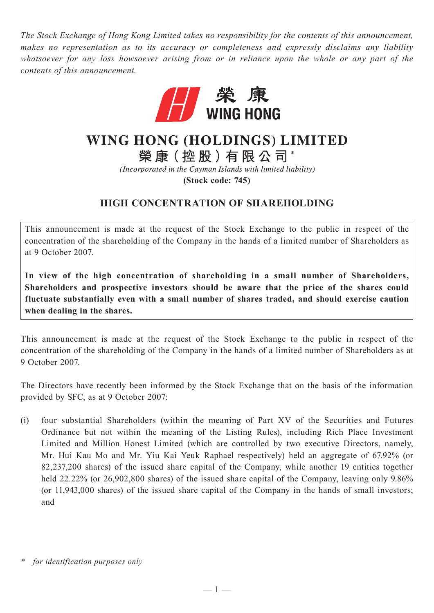*The Stock Exchange of Hong Kong Limited takes no responsibility for the contents of this announcement, makes no representation as to its accuracy or completeness and expressly disclaims any liability whatsoever for any loss howsoever arising from or in reliance upon the whole or any part of the contents of this announcement.*



## WING HONG (HOLDINGS) LIMITED

榮康(控股)有限公司\*

(Incorporated in the Cayman Islands with limited liability)

**(Stock code: 745)**

## **HIGH CONCENTRATION OF SHAREHOLDING**

This announcement is made at the request of the Stock Exchange to the public in respect of the concentration of the shareholding of the Company in the hands of a limited number of Shareholders as at 9 October 2007.

**In view of the high concentration of shareholding in a small number of Shareholders, Shareholders and prospective investors should be aware that the price of the shares could fluctuate substantially even with a small number of shares traded, and should exercise caution when dealing in the shares.**

This announcement is made at the request of the Stock Exchange to the public in respect of the concentration of the shareholding of the Company in the hands of a limited number of Shareholders as at 9 October 2007.

The Directors have recently been informed by the Stock Exchange that on the basis of the information provided by SFC, as at 9 October 2007:

(i) four substantial Shareholders (within the meaning of Part XV of the Securities and Futures Ordinance but not within the meaning of the Listing Rules), including Rich Place Investment Limited and Million Honest Limited (which are controlled by two executive Directors, namely, Mr. Hui Kau Mo and Mr. Yiu Kai Yeuk Raphael respectively) held an aggregate of 67.92% (or 82,237,200 shares) of the issued share capital of the Company, while another 19 entities together held 22.22% (or 26,902,800 shares) of the issued share capital of the Company, leaving only 9.86% (or 11,943,000 shares) of the issued share capital of the Company in the hands of small investors; and

*<sup>\*</sup> for identification purposes only*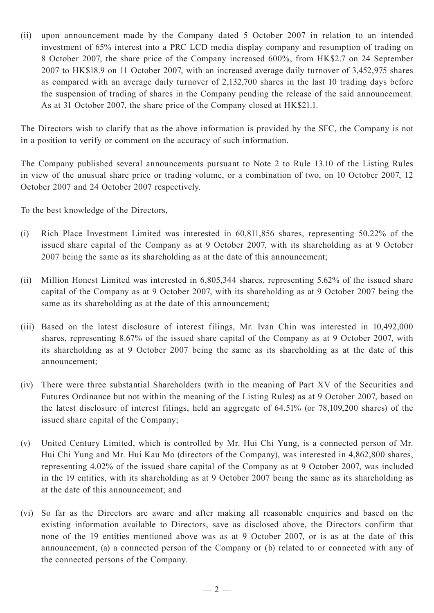(ii) upon announcement made by the Company dated 5 October 2007 in relation to an intended investment of 65% interest into a PRC LCD media display company and resumption of trading on 8 October 2007, the share price of the Company increased 600%, from HK\$2.7 on 24 September 2007 to HK\$18.9 on 11 October 2007, with an increased average daily turnover of 3,452,975 shares as compared with an average daily turnover of 2,132,700 shares in the last 10 trading days before the suspension of trading of shares in the Company pending the release of the said announcement. As at 31 October 2007, the share price of the Company closed at HK\$21.1.

The Directors wish to clarify that as the above information is provided by the SFC, the Company is not in a position to verify or comment on the accuracy of such information.

The Company published several announcements pursuant to Note 2 to Rule 13.10 of the Listing Rules in view of the unusual share price or trading volume, or a combination of two, on 10 October 2007, 12 October 2007 and 24 October 2007 respectively.

To the best knowledge of the Directors,

- (i) Rich Place Investment Limited was interested in 60,811,856 shares, representing 50.22% of the issued share capital of the Company as at 9 October 2007, with its shareholding as at 9 October 2007 being the same as its shareholding as at the date of this announcement;
- (ii) Million Honest Limited was interested in 6,805,344 shares, representing 5.62% of the issued share capital of the Company as at 9 October 2007, with its shareholding as at 9 October 2007 being the same as its shareholding as at the date of this announcement;
- (iii) Based on the latest disclosure of interest filings, Mr. Ivan Chin was interested in 10,492,000 shares, representing 8.67% of the issued share capital of the Company as at 9 October 2007, with its shareholding as at 9 October 2007 being the same as its shareholding as at the date of this announcement;
- (iv) There were three substantial Shareholders (with in the meaning of Part XV of the Securities and Futures Ordinance but not within the meaning of the Listing Rules) as at 9 October 2007, based on the latest disclosure of interest filings, held an aggregate of 64.51% (or 78,109,200 shares) of the issued share capital of the Company;
- (v) United Century Limited, which is controlled by Mr. Hui Chi Yung, is a connected person of Mr. Hui Chi Yung and Mr. Hui Kau Mo (directors of the Company), was interested in 4,862,800 shares, representing 4.02% of the issued share capital of the Company as at 9 October 2007, was included in the 19 entities, with its shareholding as at 9 October 2007 being the same as its shareholding as at the date of this announcement; and
- (vi) So far as the Directors are aware and after making all reasonable enquiries and based on the existing information available to Directors, save as disclosed above, the Directors confirm that none of the 19 entities mentioned above was as at 9 October 2007, or is as at the date of this announcement, (a) a connected person of the Company or (b) related to or connected with any of the connected persons of the Company.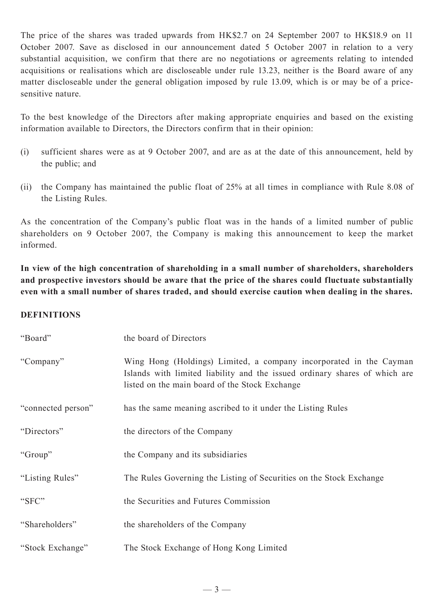The price of the shares was traded upwards from HK\$2.7 on 24 September 2007 to HK\$18.9 on 11 October 2007. Save as disclosed in our announcement dated 5 October 2007 in relation to a very substantial acquisition, we confirm that there are no negotiations or agreements relating to intended acquisitions or realisations which are discloseable under rule 13.23, neither is the Board aware of any matter discloseable under the general obligation imposed by rule 13.09, which is or may be of a pricesensitive nature.

To the best knowledge of the Directors after making appropriate enquiries and based on the existing information available to Directors, the Directors confirm that in their opinion:

- (i) sufficient shares were as at 9 October 2007, and are as at the date of this announcement, held by the public; and
- (ii) the Company has maintained the public float of 25% at all times in compliance with Rule 8.08 of the Listing Rules.

As the concentration of the Company's public float was in the hands of a limited number of public shareholders on 9 October 2007, the Company is making this announcement to keep the market informed.

**In view of the high concentration of shareholding in a small number of shareholders, shareholders and prospective investors should be aware that the price of the shares could fluctuate substantially even with a small number of shares traded, and should exercise caution when dealing in the shares.**

## **DEFINITIONS**

| "Board"            | the board of Directors                                                                                                                                                                             |
|--------------------|----------------------------------------------------------------------------------------------------------------------------------------------------------------------------------------------------|
| "Company"          | Wing Hong (Holdings) Limited, a company incorporated in the Cayman<br>Islands with limited liability and the issued ordinary shares of which are<br>listed on the main board of the Stock Exchange |
| "connected person" | has the same meaning ascribed to it under the Listing Rules                                                                                                                                        |
| "Directors"        | the directors of the Company                                                                                                                                                                       |
| "Group"            | the Company and its subsidiaries                                                                                                                                                                   |
| "Listing Rules"    | The Rules Governing the Listing of Securities on the Stock Exchange                                                                                                                                |
| "SFC"              | the Securities and Futures Commission                                                                                                                                                              |
| "Shareholders"     | the shareholders of the Company                                                                                                                                                                    |
| "Stock Exchange"   | The Stock Exchange of Hong Kong Limited                                                                                                                                                            |